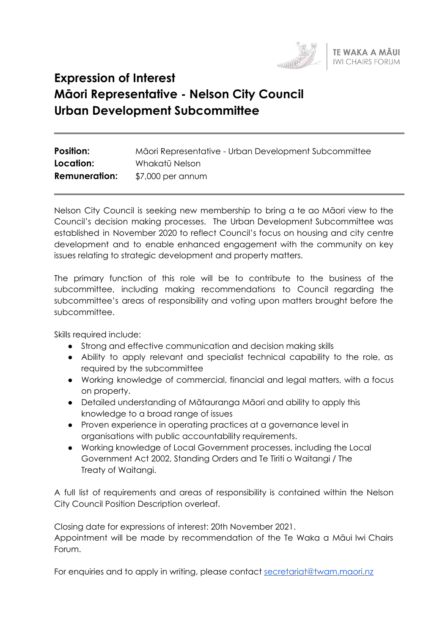

# **Expression of Interest Māori Representative - Nelson City Council Urban Development Subcommittee**

| <b>Position:</b>     | Māori Representative - Urban Development Subcommittee |
|----------------------|-------------------------------------------------------|
| Location:            | Whakatū Nelson                                        |
| <b>Remuneration:</b> | \$7,000 per annum                                     |

Nelson City Council is seeking new membership to bring a te ao Māori view to the Council's decision making processes. The Urban Development Subcommittee was established in November 2020 to reflect Council's focus on housing and city centre development and to enable enhanced engagement with the community on key issues relating to strategic development and property matters.

The primary function of this role will be to contribute to the business of the subcommittee, including making recommendations to Council regarding the subcommittee's areas of responsibility and voting upon matters brought before the subcommittee.

Skills required include:

- Strong and effective communication and decision making skills
- Ability to apply relevant and specialist technical capability to the role, as required by the subcommittee
- Working knowledge of commercial, financial and legal matters, with a focus on property.
- Detailed understanding of Mātauranga Māori and ability to apply this knowledge to a broad range of issues
- Proven experience in operating practices at a governance level in organisations with public accountability requirements.
- Working knowledge of Local Government processes, including the Local Government Act 2002, Standing Orders and Te Tiriti o Waitangi / The Treaty of Waitangi.

A full list of requirements and areas of responsibility is contained within the Nelson City Council Position Description overleaf.

Closing date for expressions of interest: 20th November 2021. Appointment will be made by recommendation of the Te Waka a Māui Iwi Chairs Forum.

For enquiries and to apply in writing, please contact [secretariat@twam.maori.nz](mailto:secretariat@twam.maori.nz)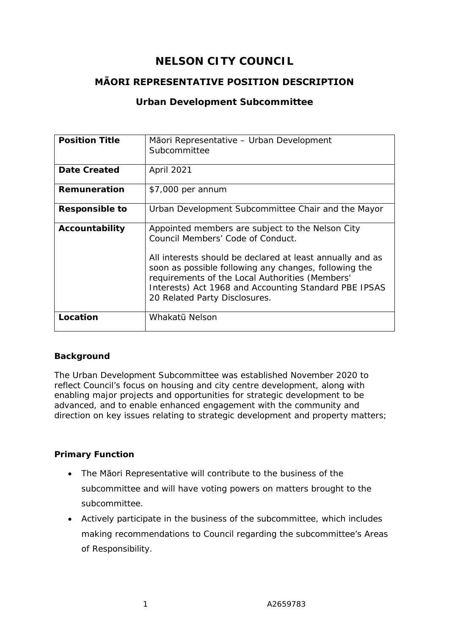# **NELSON CITY COUNCIL**

# **MĀORI REPRESENTATIVE POSITION DESCRIPTION**

# **Urban Development Subcommittee**

| <b>Position Title</b> | Māori Representative – Urban Development<br>Subcommittee                                                                                                                                                                                                                                                                                                 |
|-----------------------|----------------------------------------------------------------------------------------------------------------------------------------------------------------------------------------------------------------------------------------------------------------------------------------------------------------------------------------------------------|
| Date Created          | April 2021                                                                                                                                                                                                                                                                                                                                               |
| Remuneration          | \$7,000 per annum                                                                                                                                                                                                                                                                                                                                        |
| <b>Responsible to</b> | Urban Development Subcommittee Chair and the Mayor                                                                                                                                                                                                                                                                                                       |
| Accountability        | Appointed members are subject to the Nelson City<br>Council Members' Code of Conduct.<br>All interests should be declared at least annually and as<br>soon as possible following any changes, following the<br>requirements of the Local Authorities (Members'<br>Interests) Act 1968 and Accounting Standard PBE IPSAS<br>20 Related Party Disclosures. |
| Location              | Whakatū Nelson                                                                                                                                                                                                                                                                                                                                           |

#### **Background**

The Urban Development Subcommittee was established November 2020 to reflect Council's focus on housing and city centre development, along with enabling major projects and opportunities for strategic development to be advanced, and to enable enhanced engagement with the community and direction on key issues relating to strategic development and property matters;

# **Primary Function**

- The Māori Representative will contribute to the business of the subcommittee and will have voting powers on matters brought to the subcommittee.
- Actively participate in the business of the subcommittee, which includes making recommendations to Council regarding the subcommittee's Areas of Responsibility.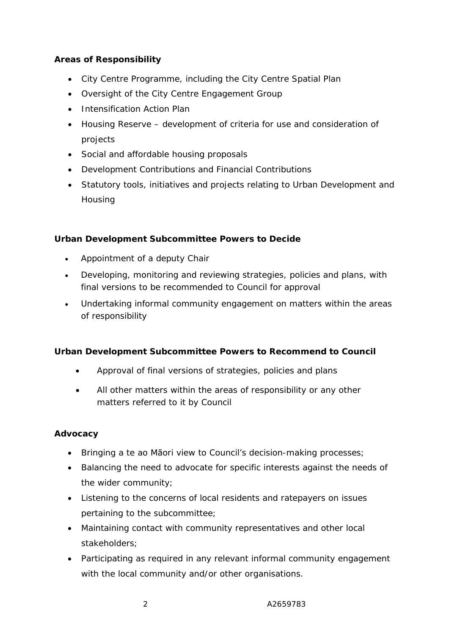### **Areas of Responsibility**

- City Centre Programme, including the City Centre Spatial Plan
- Oversight of the City Centre Engagement Group
- Intensification Action Plan
- Housing Reserve development of criteria for use and consideration of projects
- Social and affordable housing proposals
- Development Contributions and Financial Contributions
- Statutory tools, initiatives and projects relating to Urban Development and **Housing**

#### **Urban Development Subcommittee Powers to Decide**

- Appointment of a deputy Chair
- Developing, monitoring and reviewing strategies, policies and plans, with final versions to be recommended to Council for approval
- Undertaking informal community engagement on matters within the areas of responsibility

#### **Urban Development Subcommittee Powers to Recommend to Council**

- Approval of final versions of strategies, policies and plans
- All other matters within the areas of responsibility or any other matters referred to it by Council

#### **Advocacy**

- Bringing a te ao Māori view to Council's decision-making processes;
- Balancing the need to advocate for specific interests against the needs of the wider community;
- Listening to the concerns of local residents and ratepayers on issues pertaining to the subcommittee;
- Maintaining contact with community representatives and other local stakeholders;
- Participating as required in any relevant informal community engagement with the local community and/or other organisations.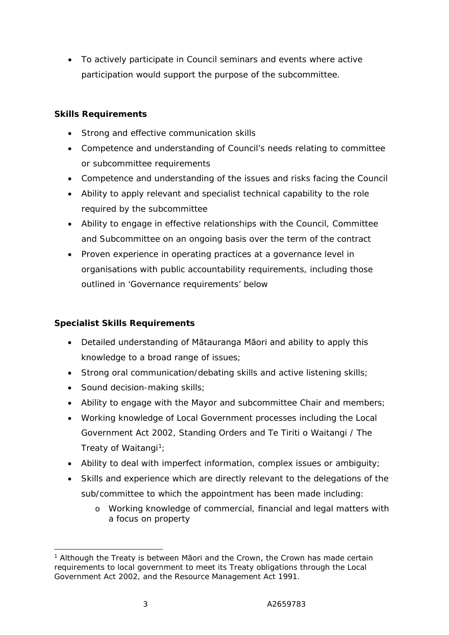• To actively participate in Council seminars and events where active participation would support the purpose of the subcommittee.

# **Skills Requirements**

- Strong and effective communication skills
- Competence and understanding of Council's needs relating to committee or subcommittee requirements
- Competence and understanding of the issues and risks facing the Council
- Ability to apply relevant and specialist technical capability to the role required by the subcommittee
- Ability to engage in effective relationships with the Council, Committee and Subcommittee on an ongoing basis over the term of the contract
- Proven experience in operating practices at a governance level in organisations with public accountability requirements, including those outlined in 'Governance requirements' below

# **Specialist Skills Requirements**

- Detailed understanding of Mātauranga Māori and ability to apply this knowledge to a broad range of issues;
- Strong oral communication/debating skills and active listening skills;
- Sound decision-making skills;
- Ability to engage with the Mayor and subcommittee Chair and members;
- Working knowledge of Local Government processes including the Local Government Act 2002, Standing Orders and Te Tiriti o Waitangi / The Treaty of Waitangi<sup>1</sup>;
- Ability to deal with imperfect information, complex issues or ambiguity;
- Skills and experience which are directly relevant to the delegations of the sub/committee to which the appointment has been made including:
	- o Working knowledge of commercial, financial and legal matters with a focus on property

<sup>&</sup>lt;sup>1</sup> Although the Treaty is between Māori and the Crown, the Crown has made certain requirements to local government to meet its Treaty obligations through the Local Government Act 2002, and the Resource Management Act 1991.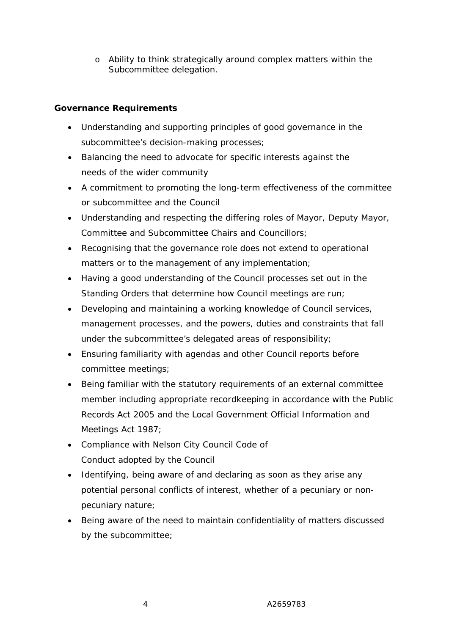o Ability to think strategically around complex matters within the Subcommittee delegation.

# **Governance Requirements**

- Understanding and supporting principles of good governance in the subcommittee's decision-making processes;
- Balancing the need to advocate for specific interests against the needs of the wider community
- A commitment to promoting the long-term effectiveness of the committee or subcommittee and the Council
- Understanding and respecting the differing roles of Mayor, Deputy Mayor, Committee and Subcommittee Chairs and Councillors;
- Recognising that the governance role does not extend to operational matters or to the management of any implementation;
- Having a good understanding of the Council processes set out in the Standing Orders that determine how Council meetings are run;
- Developing and maintaining a working knowledge of Council services, management processes, and the powers, duties and constraints that fall under the subcommittee's delegated areas of responsibility;
- Ensuring familiarity with agendas and other Council reports before committee meetings;
- Being familiar with the statutory requirements of an external committee member including appropriate recordkeeping in accordance with the Public Records Act 2005 and the Local Government Official Information and Meetings Act 1987;
- Compliance with Nelson City Council Code of Conduct adopted by the Council
- Identifying, being aware of and declaring as soon as they arise any potential personal conflicts of interest, whether of a pecuniary or nonpecuniary nature;
- Being aware of the need to maintain confidentiality of matters discussed by the subcommittee;